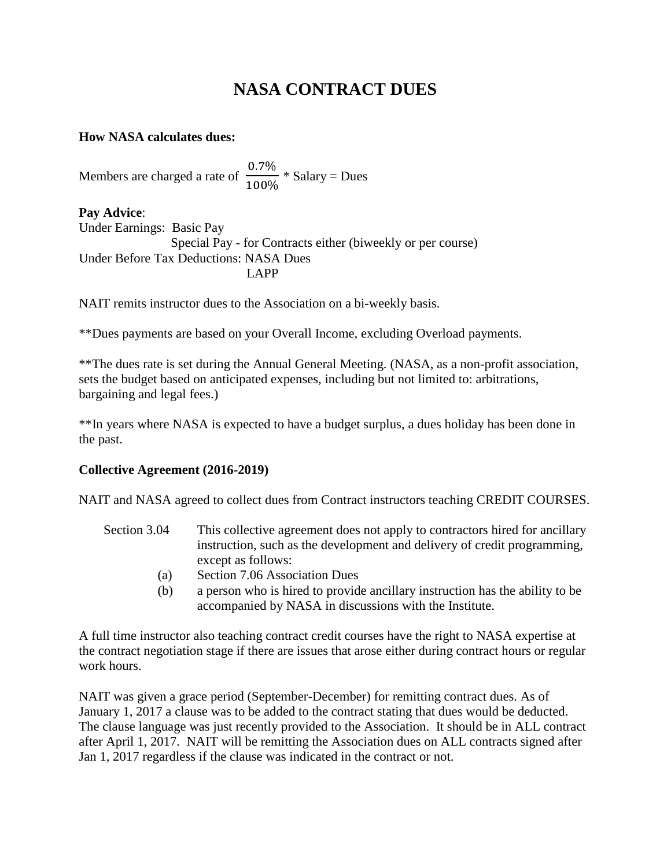## **NASA CONTRACT DUES**

## **How NASA calculates dues:**

Members are charged a rate of  $\frac{0.7\%}{100\%}$  \* Salary = Dues

**Pay Advice**: Under Earnings: Basic Pay Special Pay - for Contracts either (biweekly or per course) Under Before Tax Deductions: NASA Dues LAPP

NAIT remits instructor dues to the Association on a bi-weekly basis.

\*\*Dues payments are based on your Overall Income, excluding Overload payments.

\*\*The dues rate is set during the Annual General Meeting. (NASA, as a non-profit association, sets the budget based on anticipated expenses, including but not limited to: arbitrations, bargaining and legal fees.)

\*\*In years where NASA is expected to have a budget surplus, a dues holiday has been done in the past.

## **Collective Agreement (2016-2019)**

NAIT and NASA agreed to collect dues from Contract instructors teaching CREDIT COURSES.

- Section 3.04 This collective agreement does not apply to contractors hired for ancillary instruction, such as the development and delivery of credit programming, except as follows:
	- (a) Section 7.06 Association Dues
	- (b) a person who is hired to provide ancillary instruction has the ability to be accompanied by NASA in discussions with the Institute.

A full time instructor also teaching contract credit courses have the right to NASA expertise at the contract negotiation stage if there are issues that arose either during contract hours or regular work hours.

NAIT was given a grace period (September-December) for remitting contract dues. As of January 1, 2017 a clause was to be added to the contract stating that dues would be deducted. The clause language was just recently provided to the Association. It should be in ALL contract after April 1, 2017. NAIT will be remitting the Association dues on ALL contracts signed after Jan 1, 2017 regardless if the clause was indicated in the contract or not.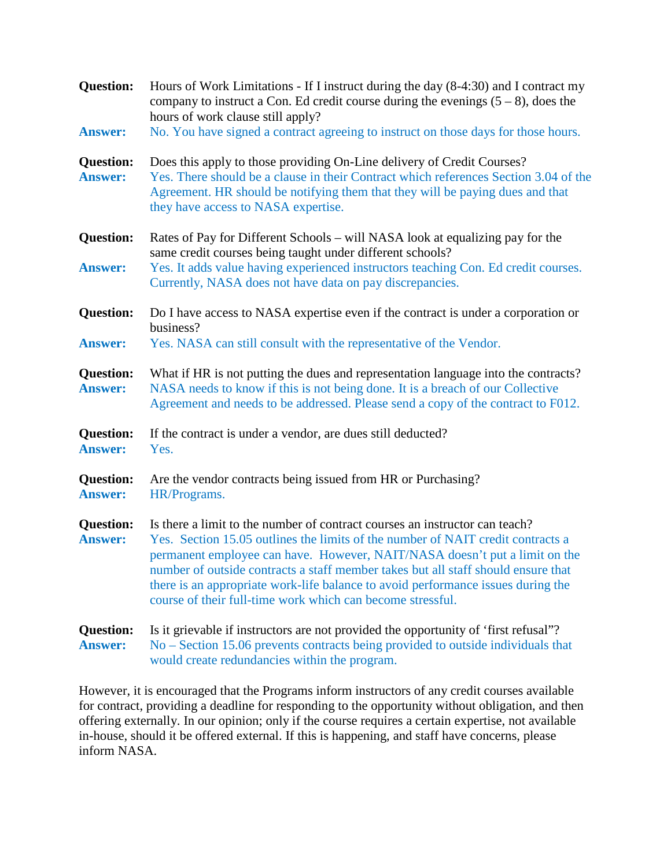| <b>Question:</b><br><b>Answer:</b> | Hours of Work Limitations - If I instruct during the day (8-4:30) and I contract my<br>company to instruct a Con. Ed credit course during the evenings $(5 - 8)$ , does the<br>hours of work clause still apply?<br>No. You have signed a contract agreeing to instruct on those days for those hours.                                                                                                                                                                              |
|------------------------------------|-------------------------------------------------------------------------------------------------------------------------------------------------------------------------------------------------------------------------------------------------------------------------------------------------------------------------------------------------------------------------------------------------------------------------------------------------------------------------------------|
| <b>Question:</b><br><b>Answer:</b> | Does this apply to those providing On-Line delivery of Credit Courses?<br>Yes. There should be a clause in their Contract which references Section 3.04 of the<br>Agreement. HR should be notifying them that they will be paying dues and that<br>they have access to NASA expertise.                                                                                                                                                                                              |
| <b>Question:</b><br><b>Answer:</b> | Rates of Pay for Different Schools – will NASA look at equalizing pay for the<br>same credit courses being taught under different schools?<br>Yes. It adds value having experienced instructors teaching Con. Ed credit courses.<br>Currently, NASA does not have data on pay discrepancies.                                                                                                                                                                                        |
| <b>Question:</b><br><b>Answer:</b> | Do I have access to NASA expertise even if the contract is under a corporation or<br>business?<br>Yes. NASA can still consult with the representative of the Vendor.                                                                                                                                                                                                                                                                                                                |
| <b>Question:</b><br><b>Answer:</b> | What if HR is not putting the dues and representation language into the contracts?<br>NASA needs to know if this is not being done. It is a breach of our Collective<br>Agreement and needs to be addressed. Please send a copy of the contract to F012.                                                                                                                                                                                                                            |
| <b>Question:</b><br><b>Answer:</b> | If the contract is under a vendor, are dues still deducted?<br>Yes.                                                                                                                                                                                                                                                                                                                                                                                                                 |
| <b>Question:</b><br><b>Answer:</b> | Are the vendor contracts being issued from HR or Purchasing?<br>HR/Programs.                                                                                                                                                                                                                                                                                                                                                                                                        |
| <b>Question:</b><br><b>Answer:</b> | Is there a limit to the number of contract courses an instructor can teach?<br>Yes. Section 15.05 outlines the limits of the number of NAIT credit contracts a<br>permanent employee can have. However, NAIT/NASA doesn't put a limit on the<br>number of outside contracts a staff member takes but all staff should ensure that<br>there is an appropriate work-life balance to avoid performance issues during the<br>course of their full-time work which can become stressful. |
| <b>Question:</b><br><b>Answer:</b> | Is it grievable if instructors are not provided the opportunity of 'first refusal'?<br>No – Section 15.06 prevents contracts being provided to outside individuals that<br>would create redundancies within the program.                                                                                                                                                                                                                                                            |

However, it is encouraged that the Programs inform instructors of any credit courses available for contract, providing a deadline for responding to the opportunity without obligation, and then offering externally. In our opinion; only if the course requires a certain expertise, not available in-house, should it be offered external. If this is happening, and staff have concerns, please inform NASA.